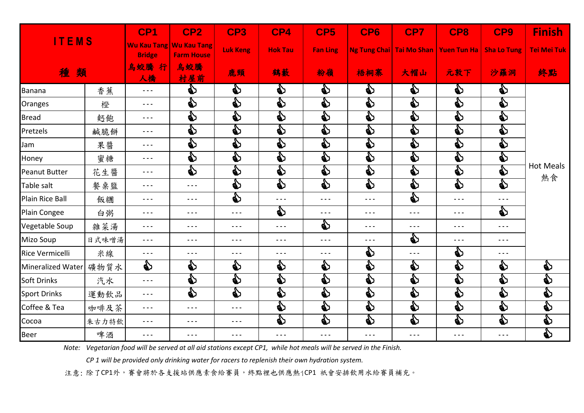| <b>ITEMS</b>           |       | CP <sub>1</sub>                                                                                                                                                                                                                                                                                                                                                                              | CP <sub>2</sub>                                                                                                                                                                                                                                                                                                                                                                              | CP3                    | CP4                  | CP5                  | CP6     | CP7                                                                                                                                                                                                                                                                                                                                                                                          | CP8                                                                                                                                                                                                                                                                                                                                                                                          | CP9                                                                                                                                                                                                                                                                                                                                                                                          | <b>Finish</b>          |
|------------------------|-------|----------------------------------------------------------------------------------------------------------------------------------------------------------------------------------------------------------------------------------------------------------------------------------------------------------------------------------------------------------------------------------------------|----------------------------------------------------------------------------------------------------------------------------------------------------------------------------------------------------------------------------------------------------------------------------------------------------------------------------------------------------------------------------------------------|------------------------|----------------------|----------------------|---------|----------------------------------------------------------------------------------------------------------------------------------------------------------------------------------------------------------------------------------------------------------------------------------------------------------------------------------------------------------------------------------------------|----------------------------------------------------------------------------------------------------------------------------------------------------------------------------------------------------------------------------------------------------------------------------------------------------------------------------------------------------------------------------------------------|----------------------------------------------------------------------------------------------------------------------------------------------------------------------------------------------------------------------------------------------------------------------------------------------------------------------------------------------------------------------------------------------|------------------------|
|                        |       | <b>Bridge</b>                                                                                                                                                                                                                                                                                                                                                                                | Wu Kau Tang Wu Kau Tang<br><b>Farm House</b>                                                                                                                                                                                                                                                                                                                                                 | <b>Luk Keng</b>        | <b>Hok Tau</b>       | <b>Fan Ling</b>      |         |                                                                                                                                                                                                                                                                                                                                                                                              | Ng Tung Chai   Tai Mo Shan   Yuen Tun Ha                                                                                                                                                                                                                                                                                                                                                     | <b>Sha Lo Tung</b>                                                                                                                                                                                                                                                                                                                                                                           | <b>Tei Mei Tuk</b>     |
| 種類                     |       | 烏蛟騰<br>行<br>人橋                                                                                                                                                                                                                                                                                                                                                                               | 烏蛟騰<br>村屋前                                                                                                                                                                                                                                                                                                                                                                                   | 鹿頸                     | 鶴藪                   | 粉嶺                   | 梧桐寨     | 大帽山                                                                                                                                                                                                                                                                                                                                                                                          | 元敦下                                                                                                                                                                                                                                                                                                                                                                                          | 沙羅洞                                                                                                                                                                                                                                                                                                                                                                                          | 終點                     |
| <b>Banana</b>          | 香蕉    | $- - -$                                                                                                                                                                                                                                                                                                                                                                                      | ♦                                                                                                                                                                                                                                                                                                                                                                                            | ♦                      | ♦                    | ♦                    | ♦       | ♦                                                                                                                                                                                                                                                                                                                                                                                            | ♦                                                                                                                                                                                                                                                                                                                                                                                            | ♦                                                                                                                                                                                                                                                                                                                                                                                            |                        |
| Oranges                | 橙     | $\sim$ $\sim$ $\sim$                                                                                                                                                                                                                                                                                                                                                                         | S                                                                                                                                                                                                                                                                                                                                                                                            | 的                      | ♦                    | D                    | e)      | ల్                                                                                                                                                                                                                                                                                                                                                                                           | S                                                                                                                                                                                                                                                                                                                                                                                            | D                                                                                                                                                                                                                                                                                                                                                                                            |                        |
| <b>Bread</b>           | 麪飽    | $\sim$ $\sim$ $\sim$                                                                                                                                                                                                                                                                                                                                                                         | S                                                                                                                                                                                                                                                                                                                                                                                            | e)                     | S                    | e)                   | D       | S                                                                                                                                                                                                                                                                                                                                                                                            | S                                                                                                                                                                                                                                                                                                                                                                                            | S                                                                                                                                                                                                                                                                                                                                                                                            | <b>Hot Meals</b><br>熱食 |
| Pretzels               | 鹹脆餅   | $\sim$ $\sim$ $\sim$                                                                                                                                                                                                                                                                                                                                                                         | D                                                                                                                                                                                                                                                                                                                                                                                            | $\mathbf{\mathcal{E}}$ | S                    | S                    | S       | S                                                                                                                                                                                                                                                                                                                                                                                            | S                                                                                                                                                                                                                                                                                                                                                                                            | S                                                                                                                                                                                                                                                                                                                                                                                            |                        |
| Jam                    | 果醬    | $- - -$                                                                                                                                                                                                                                                                                                                                                                                      | e)                                                                                                                                                                                                                                                                                                                                                                                           | e)                     | ♦                    | S                    | e)      | భి                                                                                                                                                                                                                                                                                                                                                                                           | D                                                                                                                                                                                                                                                                                                                                                                                            | ♦                                                                                                                                                                                                                                                                                                                                                                                            |                        |
| Honey                  | 蜜糖    | $\sim$ $\sim$ $\sim$                                                                                                                                                                                                                                                                                                                                                                         | D                                                                                                                                                                                                                                                                                                                                                                                            | S                      | D                    | D                    | D       | $\mathbf{\mathbf{\Phi}}$                                                                                                                                                                                                                                                                                                                                                                     | S                                                                                                                                                                                                                                                                                                                                                                                            | D                                                                                                                                                                                                                                                                                                                                                                                            |                        |
| <b>Peanut Butter</b>   | 花生醬   | $- - -$                                                                                                                                                                                                                                                                                                                                                                                      | S                                                                                                                                                                                                                                                                                                                                                                                            | ♦                      | ♦                    | ♦                    | ♦       | భి                                                                                                                                                                                                                                                                                                                                                                                           | e)                                                                                                                                                                                                                                                                                                                                                                                           | D                                                                                                                                                                                                                                                                                                                                                                                            |                        |
| Table salt             | 餐桌盬   | $- - -$                                                                                                                                                                                                                                                                                                                                                                                      | $\sim$ $\sim$ $\sim$                                                                                                                                                                                                                                                                                                                                                                         | B                      | B                    | $\mathbf{S}$         | D       | $\mathbf{\mathbf{\Phi}}$                                                                                                                                                                                                                                                                                                                                                                     | $\mathbf{\mathcal{E}}$                                                                                                                                                                                                                                                                                                                                                                       | es<br>P                                                                                                                                                                                                                                                                                                                                                                                      |                        |
| <b>Plain Rice Ball</b> | 飯糰    | $\frac{1}{2} \frac{1}{2} \frac{1}{2} \frac{1}{2} \frac{1}{2} \frac{1}{2} \frac{1}{2} \frac{1}{2} \frac{1}{2} \frac{1}{2} \frac{1}{2} \frac{1}{2} \frac{1}{2} \frac{1}{2} \frac{1}{2} \frac{1}{2} \frac{1}{2} \frac{1}{2} \frac{1}{2} \frac{1}{2} \frac{1}{2} \frac{1}{2} \frac{1}{2} \frac{1}{2} \frac{1}{2} \frac{1}{2} \frac{1}{2} \frac{1}{2} \frac{1}{2} \frac{1}{2} \frac{1}{2} \frac{$ | $\sim$ $\sim$ $\sim$                                                                                                                                                                                                                                                                                                                                                                         | e)                     | $\sim$ $\sim$ $\sim$ | $\sim$ $\sim$ $\sim$ | $- - -$ | e)                                                                                                                                                                                                                                                                                                                                                                                           | $\sim$ $\sim$ $\sim$                                                                                                                                                                                                                                                                                                                                                                         | $\sim$ $\sim$ $\sim$                                                                                                                                                                                                                                                                                                                                                                         |                        |
| Plain Congee           | 白粥    | $\frac{1}{2} \frac{1}{2} \frac{1}{2} \frac{1}{2} \frac{1}{2} \frac{1}{2} \frac{1}{2} \frac{1}{2} \frac{1}{2} \frac{1}{2} \frac{1}{2} \frac{1}{2} \frac{1}{2} \frac{1}{2} \frac{1}{2} \frac{1}{2} \frac{1}{2} \frac{1}{2} \frac{1}{2} \frac{1}{2} \frac{1}{2} \frac{1}{2} \frac{1}{2} \frac{1}{2} \frac{1}{2} \frac{1}{2} \frac{1}{2} \frac{1}{2} \frac{1}{2} \frac{1}{2} \frac{1}{2} \frac{$ | $\frac{1}{2} \frac{1}{2} \frac{1}{2} \frac{1}{2} \frac{1}{2} \frac{1}{2} \frac{1}{2} \frac{1}{2} \frac{1}{2} \frac{1}{2} \frac{1}{2} \frac{1}{2} \frac{1}{2} \frac{1}{2} \frac{1}{2} \frac{1}{2} \frac{1}{2} \frac{1}{2} \frac{1}{2} \frac{1}{2} \frac{1}{2} \frac{1}{2} \frac{1}{2} \frac{1}{2} \frac{1}{2} \frac{1}{2} \frac{1}{2} \frac{1}{2} \frac{1}{2} \frac{1}{2} \frac{1}{2} \frac{$ | $\sim$ $\sim$ $\sim$   | 的                    | $- - -$              | $- - -$ | $\frac{1}{2} \frac{1}{2} \frac{1}{2} \frac{1}{2} \frac{1}{2} \frac{1}{2} \frac{1}{2} \frac{1}{2} \frac{1}{2} \frac{1}{2} \frac{1}{2} \frac{1}{2} \frac{1}{2} \frac{1}{2} \frac{1}{2} \frac{1}{2} \frac{1}{2} \frac{1}{2} \frac{1}{2} \frac{1}{2} \frac{1}{2} \frac{1}{2} \frac{1}{2} \frac{1}{2} \frac{1}{2} \frac{1}{2} \frac{1}{2} \frac{1}{2} \frac{1}{2} \frac{1}{2} \frac{1}{2} \frac{$ | $\frac{1}{2} \frac{1}{2} \frac{1}{2} \frac{1}{2} \frac{1}{2} \frac{1}{2} \frac{1}{2} \frac{1}{2} \frac{1}{2} \frac{1}{2} \frac{1}{2} \frac{1}{2} \frac{1}{2} \frac{1}{2} \frac{1}{2} \frac{1}{2} \frac{1}{2} \frac{1}{2} \frac{1}{2} \frac{1}{2} \frac{1}{2} \frac{1}{2} \frac{1}{2} \frac{1}{2} \frac{1}{2} \frac{1}{2} \frac{1}{2} \frac{1}{2} \frac{1}{2} \frac{1}{2} \frac{1}{2} \frac{$ | S                                                                                                                                                                                                                                                                                                                                                                                            |                        |
| Vegetable Soup         | 雜菜湯   | $\sim$ $\sim$ $\sim$                                                                                                                                                                                                                                                                                                                                                                         | $\sim$ $\sim$ $\sim$                                                                                                                                                                                                                                                                                                                                                                         | $- - -$                | $- - -$              | e)                   | $  -$   | $\sim$ $\sim$ $\sim$                                                                                                                                                                                                                                                                                                                                                                         | $\sim$ $\sim$ $\sim$                                                                                                                                                                                                                                                                                                                                                                         | $- - -$                                                                                                                                                                                                                                                                                                                                                                                      |                        |
| <b>Mizo Soup</b>       | 日式味噌湯 | $\sim$ $\sim$ $\sim$                                                                                                                                                                                                                                                                                                                                                                         | $\sim$ $\sim$ $\sim$                                                                                                                                                                                                                                                                                                                                                                         | $\frac{1}{2}$          | $- - -$              | $\sim$ $\sim$ $\sim$ | $- - -$ | ♦                                                                                                                                                                                                                                                                                                                                                                                            | $\frac{1}{2} \frac{1}{2} \frac{1}{2} \frac{1}{2} \frac{1}{2} \frac{1}{2} \frac{1}{2} \frac{1}{2} \frac{1}{2} \frac{1}{2} \frac{1}{2} \frac{1}{2} \frac{1}{2} \frac{1}{2} \frac{1}{2} \frac{1}{2} \frac{1}{2} \frac{1}{2} \frac{1}{2} \frac{1}{2} \frac{1}{2} \frac{1}{2} \frac{1}{2} \frac{1}{2} \frac{1}{2} \frac{1}{2} \frac{1}{2} \frac{1}{2} \frac{1}{2} \frac{1}{2} \frac{1}{2} \frac{$ | $\frac{1}{2} \frac{1}{2} \frac{1}{2} \frac{1}{2} \frac{1}{2} \frac{1}{2} \frac{1}{2} \frac{1}{2} \frac{1}{2} \frac{1}{2} \frac{1}{2} \frac{1}{2} \frac{1}{2} \frac{1}{2} \frac{1}{2} \frac{1}{2} \frac{1}{2} \frac{1}{2} \frac{1}{2} \frac{1}{2} \frac{1}{2} \frac{1}{2} \frac{1}{2} \frac{1}{2} \frac{1}{2} \frac{1}{2} \frac{1}{2} \frac{1}{2} \frac{1}{2} \frac{1}{2} \frac{1}{2} \frac{$ |                        |
| <b>Rice Vermicelli</b> | 米線    | $\sim$ $\sim$ $\sim$                                                                                                                                                                                                                                                                                                                                                                         | $- - -$                                                                                                                                                                                                                                                                                                                                                                                      | $- - -$                | $- - -$              | - - -                | ♦       | $\sim$ $\sim$ $\sim$                                                                                                                                                                                                                                                                                                                                                                         | ♦                                                                                                                                                                                                                                                                                                                                                                                            | $\frac{1}{2} \frac{1}{2} \frac{1}{2} \frac{1}{2} \frac{1}{2} \frac{1}{2} \frac{1}{2} \frac{1}{2} \frac{1}{2} \frac{1}{2} \frac{1}{2} \frac{1}{2} \frac{1}{2} \frac{1}{2} \frac{1}{2} \frac{1}{2} \frac{1}{2} \frac{1}{2} \frac{1}{2} \frac{1}{2} \frac{1}{2} \frac{1}{2} \frac{1}{2} \frac{1}{2} \frac{1}{2} \frac{1}{2} \frac{1}{2} \frac{1}{2} \frac{1}{2} \frac{1}{2} \frac{1}{2} \frac{$ |                        |
| Mineralized Water      | 礦物質水  | ♦                                                                                                                                                                                                                                                                                                                                                                                            | D                                                                                                                                                                                                                                                                                                                                                                                            | €                      | €                    | €                    | ♦       | ♦                                                                                                                                                                                                                                                                                                                                                                                            | S                                                                                                                                                                                                                                                                                                                                                                                            | €                                                                                                                                                                                                                                                                                                                                                                                            | €                      |
| <b>Soft Drinks</b>     | 汽水    | $\sim$ $\sim$ $\sim$                                                                                                                                                                                                                                                                                                                                                                         | e)                                                                                                                                                                                                                                                                                                                                                                                           | e)                     | ♦                    | €                    | ♦       | S                                                                                                                                                                                                                                                                                                                                                                                            | D                                                                                                                                                                                                                                                                                                                                                                                            | D                                                                                                                                                                                                                                                                                                                                                                                            | es<br>P                |
| <b>Sport Drinks</b>    | 運動飲品  | $- - -$                                                                                                                                                                                                                                                                                                                                                                                      | D                                                                                                                                                                                                                                                                                                                                                                                            | D                      | D                    | S                    | D       | S                                                                                                                                                                                                                                                                                                                                                                                            | S                                                                                                                                                                                                                                                                                                                                                                                            | D                                                                                                                                                                                                                                                                                                                                                                                            | D                      |
| Coffee & Tea           | 咖啡及茶  | $\sim$ $\sim$ $\sim$                                                                                                                                                                                                                                                                                                                                                                         | $\sim$ $\sim$ $\sim$                                                                                                                                                                                                                                                                                                                                                                         | $- - -$                | ♦                    | S                    | e)      | $\mathbf{\mathbf{\Phi}}$                                                                                                                                                                                                                                                                                                                                                                     | S                                                                                                                                                                                                                                                                                                                                                                                            | ♦                                                                                                                                                                                                                                                                                                                                                                                            | ♦                      |
| Cocoa                  | 朱古力特飲 | $\sim$ $\sim$ $\sim$                                                                                                                                                                                                                                                                                                                                                                         | $\sim$ $\sim$ $\sim$                                                                                                                                                                                                                                                                                                                                                                         | $\sim$ $\sim$ $\sim$   | S                    | D                    | D       | $\mathbf{\mathbf{\Phi}}$                                                                                                                                                                                                                                                                                                                                                                     | S                                                                                                                                                                                                                                                                                                                                                                                            | D                                                                                                                                                                                                                                                                                                                                                                                            | S                      |
| <b>Beer</b>            | 啤酒    | $\sim$ $\sim$ $\sim$                                                                                                                                                                                                                                                                                                                                                                         | $- - -$                                                                                                                                                                                                                                                                                                                                                                                      | $\frac{1}{2}$          | $- - -$              | $- - -$              | $- - -$ | $\sim$ $\sim$ $\sim$                                                                                                                                                                                                                                                                                                                                                                         | $- - -$                                                                                                                                                                                                                                                                                                                                                                                      | $\sim$ $\sim$ $\sim$                                                                                                                                                                                                                                                                                                                                                                         | S                      |

*Note: Vegetarian food will be served at all aid stations except CP1, while hot meals will be served in the Finish.* 

*CP 1 will be provided only drinking water for racers to replenish their own hydration system.* 

注意: 除了CP1外,賽會將於各支援站供應素食給賽員,終點裡也供應熱1CP1 祇會安排飲用水給賽員補充。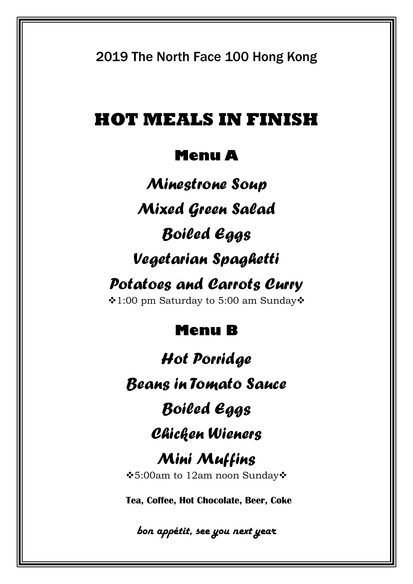2019 The North Face 100 Hong Kong

### **HOT MEALS IN FINISH**

### **Menu A**

*Minestrone Soup Mixed Green Salad Boiled Eggs Vegetarian Spaghetti*

## *Potatoes and Carrots Curry*

1:00 pm Saturday to 5:00 am Sunday

### **Menu B**

*Hot Porridge Beans in Tomato Sauce Boiled Eggs Chicken Wieners Mini Muffins* 5:00am to 12am noon Sunday **Tea, Coffee, Hot Chocolate, Beer, Coke**

*bon appétit, see you next year*